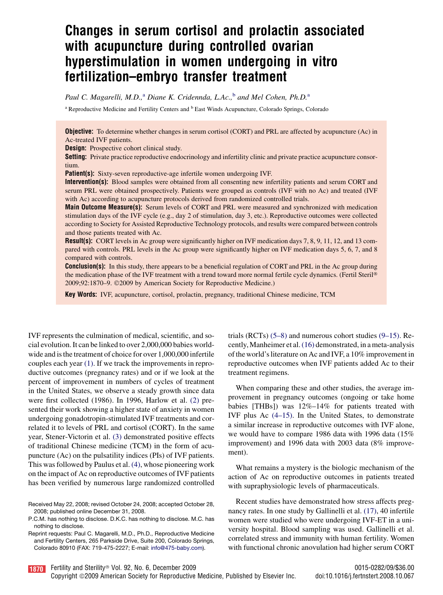# Changes in serum cortisol and prolactin associated with acupuncture during controlled ovarian hyperstimulation in women undergoing in vitro fertilization–embryo transfer treatment

Paul C. Magarelli, M.D., $^a$  Diane K. Cridennda, L.Ac., $^b$  and Mel Cohen, Ph.D. $^a$ 

<sup>a</sup> Reproductive Medicine and Fertility Centers and <sup>b</sup> East Winds Acupuncture, Colorado Springs, Colorado

Objective: To determine whether changes in serum cortisol (CORT) and PRL are affected by acupuncture (Ac) in Ac-treated IVF patients.

**Design:** Prospective cohort clinical study.

Setting: Private practice reproductive endocrinology and infertility clinic and private practice acupuncture consortium.

Patient(s): Sixty-seven reproductive-age infertile women undergoing IVF.

Intervention(s): Blood samples were obtained from all consenting new infertility patients and serum CORT and serum PRL were obtained prospectively. Patients were grouped as controls (IVF with no Ac) and treated (IVF with Ac) according to acupuncture protocols derived from randomized controlled trials.

**Main Outcome Measure(s):** Serum levels of CORT and PRL were measured and synchronized with medication stimulation days of the IVF cycle (e.g., day 2 of stimulation, day 3, etc.). Reproductive outcomes were collected according to Society for Assisted Reproductive Technology protocols, and results were compared between controls and those patients treated with Ac.

Result(s): CORT levels in Ac group were significantly higher on IVF medication days 7, 8, 9, 11, 12, and 13 compared with controls. PRL levels in the Ac group were significantly higher on IVF medication days 5, 6, 7, and 8 compared with controls.

**Conclusion(s):** In this study, there appears to be a beneficial regulation of CORT and PRL in the Ac group during the medication phase of the IVF treatment with a trend toward more normal fertile cycle dynamics. (Fertil Steril® 2009;92:1870–9. 2009 by American Society for Reproductive Medicine.)

Key Words: IVF, acupuncture, cortisol, prolactin, pregnancy, traditional Chinese medicine, TCM

IVF represents the culmination of medical, scientific, and social evolution. It can be linked to over 2,000,000 babies worldwide and is the treatment of choice for over 1,000,000 infertile couples each year [\(1\)](#page-8-0). If we track the improvements in reproductive outcomes (pregnancy rates) and or if we look at the percent of improvement in numbers of cycles of treatment in the United States, we observe a steady growth since data were first collected (1986). In 1996, Harlow et al. [\(2\)](#page-8-0) presented their work showing a higher state of anxiety in women undergoing gonadotropin-stimulated IVF treatments and correlated it to levels of PRL and cortisol (CORT). In the same year, Stener-Victorin et al. [\(3\)](#page-8-0) demonstrated positive effects of traditional Chinese medicine (TCM) in the form of acupuncture (Ac) on the pulsatility indices (PIs) of IVF patients. This was followed by Paulus et al. [\(4\),](#page-8-0) whose pioneering work on the impact of Ac on reproductive outcomes of IVF patients has been verified by numerous large randomized controlled

Received May 22, 2008; revised October 24, 2008; accepted October 28, 2008; published online December 31, 2008.

Reprint requests: Paul C. Magarelli, M.D., Ph.D., Reproductive Medicine and Fertility Centers, 265 Parkside Drive, Suite 200, Colorado Springs, Colorado 80910 (FAX: 719-475-2227; E-mail: [info@475-baby.com\)](mailto:info@475-baby.com).

trials (RCTs) [\(5–8\)](#page-8-0) and numerous cohort studies [\(9–15\).](#page-8-0) Recently, Manheimer et al.[\(16\)](#page-8-0) demonstrated, in a meta-analysis of the world's literature on Ac and IVF, a 10% improvement in reproductive outcomes when IVF patients added Ac to their treatment regimens.

When comparing these and other studies, the average improvement in pregnancy outcomes (ongoing or take home babies [THBs]) was 12%–14% for patients treated with IVF plus Ac [\(4–15\)](#page-8-0). In the United States, to demonstrate a similar increase in reproductive outcomes with IVF alone, we would have to compare 1986 data with 1996 data (15% improvement) and 1996 data with 2003 data (8% improvement).

What remains a mystery is the biologic mechanism of the action of Ac on reproductive outcomes in patients treated with supraphysiologic levels of pharmaceuticals.

Recent studies have demonstrated how stress affects pregnancy rates. In one study by Gallinelli et al. [\(17\),](#page-8-0) 40 infertile women were studied who were undergoing IVF-ET in a university hospital. Blood sampling was used. Gallinelli et al. correlated stress and immunity with human fertility. Women with functional chronic anovulation had higher serum CORT



P.C.M. has nothing to disclose. D.K.C. has nothing to disclose. M.C. has nothing to disclose.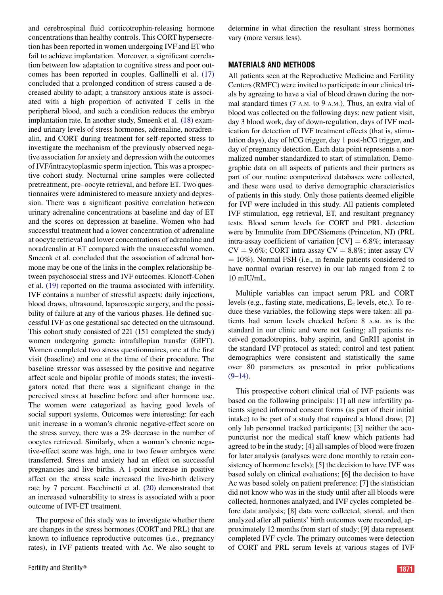and cerebrospinal fluid corticotrophin-releasing hormone concentrations than healthy controls. This CORT hypersecretion has been reported in women undergoing IVF and ET who fail to achieve implantation. Moreover, a significant correlation between low adaptation to cognitive stress and poor outcomes has been reported in couples. Gallinelli et al. [\(17\)](#page-8-0) concluded that a prolonged condition of stress caused a decreased ability to adapt; a transitory anxious state is associated with a high proportion of activated T cells in the peripheral blood, and such a condition reduces the embryo implantation rate. In another study, Smeenk et al. [\(18\)](#page-8-0) examined urinary levels of stress hormones, adrenaline, noradrenalin, and CORT during treatment for self-reported stress to investigate the mechanism of the previously observed negative association for anxiety and depression with the outcomes of IVF/intracytoplasmic sperm injection. This was a prospective cohort study. Nocturnal urine samples were collected pretreatment, pre–oocyte retrieval, and before ET. Two questionnaires were administered to measure anxiety and depression. There was a significant positive correlation between urinary adrenaline concentrations at baseline and day of ET and the scores on depression at baseline. Women who had successful treatment had a lower concentration of adrenaline at oocyte retrieval and lower concentrations of adrenaline and noradrenalin at ET compared with the unsuccessful women. Smeenk et al. concluded that the association of adrenal hormone may be one of the links in the complex relationship between psychosocial stress and IVF outcomes. Klonoff-Cohen et al. [\(19\)](#page-8-0) reported on the trauma associated with infertility. IVF contains a number of stressful aspects: daily injections, blood draws, ultrasound, laparoscopic surgery, and the possibility of failure at any of the various phases. He defined successful IVF as one gestational sac detected on the ultrasound. This cohort study consisted of 221 (151 completed the study) women undergoing gamete intrafallopian transfer (GIFT). Women completed two stress questionnaires, one at the first visit (baseline) and one at the time of their procedure. The baseline stressor was assessed by the positive and negative affect scale and bipolar profile of moods states; the investigators noted that there was a significant change in the perceived stress at baseline before and after hormone use. The women were categorized as having good levels of social support systems. Outcomes were interesting: for each unit increase in a woman's chronic negative-effect score on the stress survey, there was a 2% decrease in the number of oocytes retrieved. Similarly, when a woman's chronic negative-effect score was high, one to two fewer embryos were transferred. Stress and anxiety had an effect on successful pregnancies and live births. A 1-point increase in positive affect on the stress scale increased the live-birth delivery rate by 7 percent. Facchinetti et al. [\(20\)](#page-8-0) demonstrated that an increased vulnerability to stress is associated with a poor outcome of IVF-ET treatment.

The purpose of this study was to investigate whether there are changes in the stress hormones (CORT and PRL) that are known to influence reproductive outcomes (i.e., pregnancy rates), in IVF patients treated with Ac. We also sought to determine in what direction the resultant stress hormones vary (more versus less).

### MATERIALS AND METHODS

All patients seen at the Reproductive Medicine and Fertility Centers (RMFC) were invited to participate in our clinical trials by agreeing to have a vial of blood drawn during the normal standard times (7 A.M. to 9 A.M.). Thus, an extra vial of blood was collected on the following days: new patient visit, day 3 blood work, day of down-regulation, days of IVF medication for detection of IVF treatment effects (that is, stimulation days), day of hCG trigger, day 1 post-hCG trigger, and day of pregnancy detection. Each data point represents a normalized number standardized to start of stimulation. Demographic data on all aspects of patients and their partners as part of our routine computerized databases were collected, and these were used to derive demographic characteristics of patients in this study. Only those patients deemed eligible for IVF were included in this study. All patients completed IVF stimulation, egg retrieval, ET, and resultant pregnancy tests. Blood serum levels for CORT and PRL detection were by Immulite from DPC/Siemens (Princeton, NJ) (PRL intra-assay coefficient of variation  $[CV] = 6.8\%$ ; interassay  $CV = 9.6\%$ ; CORT intra-assay  $CV = 8.8\%$ ; inter-assay CV  $= 10\%$ ). Normal FSH (i.e., in female patients considered to have normal ovarian reserve) in our lab ranged from 2 to 10 mIU/mL.

Multiple variables can impact serum PRL and CORT levels (e.g., fasting state, medications,  $E_2$  levels, etc.). To reduce these variables, the following steps were taken: all patients had serum levels checked before 8 A.M. as is the standard in our clinic and were not fasting; all patients received gonadotropins, baby aspirin, and GnRH agonist in the standard IVF protocol as stated; control and test patient demographics were consistent and statistically the same over 80 parameters as presented in prior publications  $(9-14)$ .

This prospective cohort clinical trial of IVF patients was based on the following principals: [1] all new infertility patients signed informed consent forms (as part of their initial intake) to be part of a study that required a blood draw; [2] only lab personnel tracked participants; [3] neither the acupuncturist nor the medical staff knew which patients had agreed to be in the study; [4] all samples of blood were frozen for later analysis (analyses were done monthly to retain consistency of hormone levels); [5] the decision to have IVF was based solely on clinical evaluations; [6] the decision to have Ac was based solely on patient preference; [7] the statistician did not know who was in the study until after all bloods were collected, hormones analyzed, and IVF cycles completed before data analysis; [8] data were collected, stored, and then analyzed after all patients' birth outcomes were recorded, approximately 12 months from start of study; [9] data represent completed IVF cycle. The primary outcomes were detection of CORT and PRL serum levels at various stages of IVF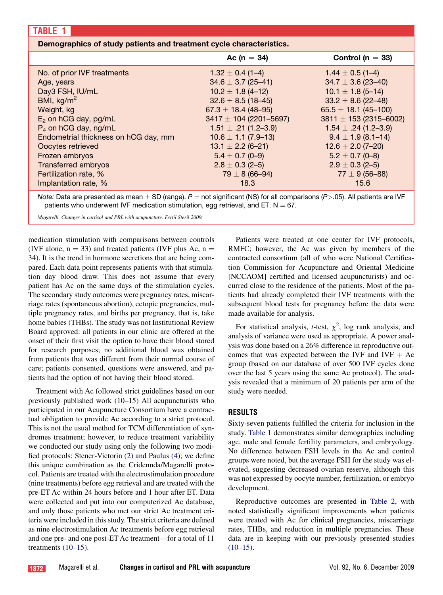### Demographics of study patients and treatment cycle characteristics.

|                                      | Ac ( $n = 34$ )            | Control ( $n = 33$ )       |
|--------------------------------------|----------------------------|----------------------------|
| No. of prior IVF treatments          | $1.32 \pm 0.4$ (1-4)       | $1.44 \pm 0.5$ (1-4)       |
| Age, years                           | $34.6 \pm 3.7$ (25-41)     | $34.7 \pm 3.6$ (23-40)     |
| Day3 FSH, IU/mL                      | $10.2 \pm 1.8$ (4-12)      | $10.1 \pm 1.8$ (5-14)      |
| BMI, $kg/m2$                         | $32.6 \pm 8.5$ (18-45)     | $33.2 \pm 8.6$ (22-48)     |
| Weight, kg                           | $67.3 \pm 18.4$ (48-95)    | $65.5 \pm 18.1 (45 - 100)$ |
| $E_2$ on hCG day, pg/mL              | $3417 \pm 104$ (2201-5697) | $3811 \pm 153$ (2315-6002) |
| $P_4$ on hCG day, ng/mL              | $1.51 \pm .21$ (1.2-3.9)   | $1.54 \pm .24$ (1.2-3.9)   |
| Endometrial thickness on hCG day, mm | $10.6 \pm 1.1 (7.9 - 13)$  | $9.4 \pm 1.9$ (8.1-14)     |
| Oocytes retrieved                    | $13.1 \pm 2.2$ (6-21)      | $12.6 + 2.0(7-20)$         |
| Frozen embryos                       | $5.4 \pm 0.7$ (0-9)        | $5.2 \pm 0.7$ (0-8)        |
| <b>Transferred embryos</b>           | $2.8 \pm 0.3$ (2-5)        | $2.9 \pm 0.3$ (2-5)        |
| Fertilization rate, %                | $79 \pm 8 (66 - 94)$       | $77 \pm 9$ (56–88)         |
| Implantation rate, %                 | 18.3                       | 15.6                       |

*Note:* Data are presented as mean  $\pm$  SD (range).  $P=$  not significant (NS) for all comparisons (*P*>.05). All patients are IVF patients who underwent IVF medication stimulation, egg retrieval, and ET.  $N = 67$ .

Magarelli. Changes in cortisol and PRL with acupuncture. Fertil Steril 2009.

medication stimulation with comparisons between controls (IVF alone,  $n = 33$ ) and treated patients (IVF plus Ac,  $n =$ 34). It is the trend in hormone secretions that are being compared. Each data point represents patients with that stimulation day blood draw. This does not assume that every patient has Ac on the same days of the stimulation cycles. The secondary study outcomes were pregnancy rates, miscarriage rates (spontaneous abortion), ectopic pregnancies, multiple pregnancy rates, and births per pregnancy, that is, take home babies (THBs). The study was not Institutional Review Board approved: all patients in our clinic are offered at the onset of their first visit the option to have their blood stored for research purposes; no additional blood was obtained from patients that was different from their normal course of care; patients consented, questions were answered, and patients had the option of not having their blood stored.

Treatment with Ac followed strict guidelines based on our previously published work (10–15) All acupuncturists who participated in our Acupuncture Consortium have a contractual obligation to provide Ac according to a strict protocol. This is not the usual method for TCM differentiation of syndromes treatment; however, to reduce treatment variability we conducted our study using only the following two modified protocols: Stener-Victorin [\(2\)](#page-8-0) and Paulus [\(4\)](#page-8-0); we define this unique combination as the Cridennda/Magarelli protocol. Patients are treated with the electrostimulation procedure (nine treatments) before egg retrieval and are treated with the pre-ET Ac within 24 hours before and 1 hour after ET. Data were collected and put into our computerized Ac database, and only those patients who met our strict Ac treatment criteria were included in this study. The strict criteria are defined as nine electrostimulation Ac treatments before egg retrieval and one pre- and one post-ET Ac treatment—for a total of 11 treatments [\(10–15\)](#page-8-0).

Patients were treated at one center for IVF protocols, RMFC; however, the Ac was given by members of the contracted consortium (all of who were National Certification Commission for Acupuncture and Oriental Medicine [NCCAOM] certified and licensed acupuncturists) and occurred close to the residence of the patients. Most of the patients had already completed their IVF treatments with the subsequent blood tests for pregnancy before the data were made available for analysis.

For statistical analysis, *t*-test,  $\chi^2$ , log rank analysis, and analysis of variance were used as appropriate. A power analysis was done based on a 26% difference in reproductive outcomes that was expected between the IVF and IVF  $+$  Ac group (based on our database of over 500 IVF cycles done over the last 5 years using the same Ac protocol). The analysis revealed that a minimum of 20 patients per arm of the study were needed.

## RESULTS

Sixty-seven patients fulfilled the criteria for inclusion in the study. Table 1 demonstrates similar demographics including age, male and female fertility parameters, and embryology. No difference between FSH levels in the Ac and control groups were noted, but the average FSH for the study was elevated, suggesting decreased ovarian reserve, although this was not expressed by oocyte number, fertilization, or embryo development.

Reproductive outcomes are presented in [Table 2,](#page-3-0) with noted statistically significant improvements when patients were treated with Ac for clinical pregnancies, miscarriage rates, THBs, and reduction in multiple pregnancies. These data are in keeping with our previously presented studies  $(10-15)$ .

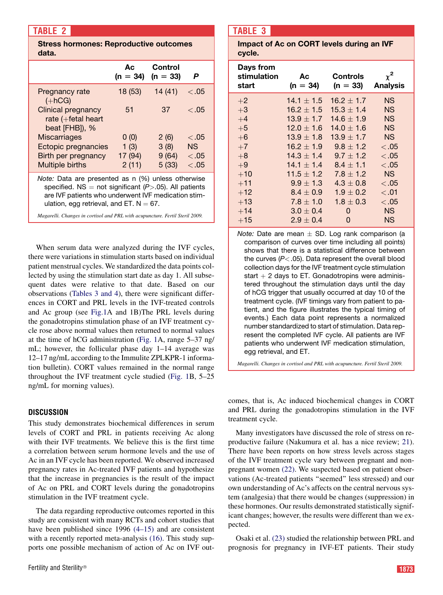## <span id="page-3-0"></span>TABLE 2

### Stress hormones: Reproductive outcomes data.

|                                                                                                                                                                                                                       | Aс<br>$(n = 34)$ | Control<br>$(n = 33)$ | P      |  |
|-----------------------------------------------------------------------------------------------------------------------------------------------------------------------------------------------------------------------|------------------|-----------------------|--------|--|
| Pregnancy rate<br>$(+hCG)$                                                                                                                                                                                            | 18 (53)          | 14(41)                | < 0.05 |  |
| Clinical pregnancy<br>rate $(+$ fetal heart<br>beat [FHB]), %                                                                                                                                                         | 51               | 37                    | < 0.05 |  |
| <b>Miscarriages</b>                                                                                                                                                                                                   | 0(0)             | 2(6)                  | < 0.05 |  |
| <b>Ectopic pregnancies</b>                                                                                                                                                                                            | 1(3)             | 3(8)                  | NS     |  |
| Birth per pregnancy                                                                                                                                                                                                   | 17 (94)          | 9(64)                 | < 0.05 |  |
| Multiple births                                                                                                                                                                                                       | 2(11)            | 5(33)                 | < 0.05 |  |
| Note: Data are presented as n (%) unless otherwise<br>specified. NS = not significant $(P > .05)$ . All patients<br>are IVF patients who underwent IVF medication stim-<br>ulation, egg retrieval, and ET. $N = 67$ . |                  |                       |        |  |
| Magarelli. Changes in cortisol and PRL with acupuncture. Fertil Steril 2009.                                                                                                                                          |                  |                       |        |  |

When serum data were analyzed during the IVF cycles, there were variations in stimulation starts based on individual patient menstrual cycles. We standardized the data points collected by using the stimulation start date as day 1. All subsequent dates were relative to that date. Based on our observations (Tables 3 and 4), there were significant differences in CORT and PRL levels in the IVF-treated controls and Ac group (see [Fig.1](#page-5-0)A and 1B)The PRL levels during the gonadotropins stimulation phase of an IVF treatment cycle rose above normal values then returned to normal values at the time of hCG administration [\(Fig. 1](#page-5-0)A, range 5–37 ng/ mL; however, the follicular phase day 1–14 average was 12–17 ng/mL according to the Immulite ZPLKPR-1 information bulletin). CORT values remained in the normal range throughout the IVF treatment cycle studied ([Fig. 1](#page-5-0)B, 5–25 ng/mL for morning values).

## **DISCUSSION**

This study demonstrates biochemical differences in serum levels of CORT and PRL in patients receiving Ac along with their IVF treatments. We believe this is the first time a correlation between serum hormone levels and the use of Ac in an IVF cycle has been reported. We observed increased pregnancy rates in Ac-treated IVF patients and hypothesize that the increase in pregnancies is the result of the impact of Ac on PRL and CORT levels during the gonadotropins stimulation in the IVF treatment cycle.

The data regarding reproductive outcomes reported in this study are consistent with many RCTs and cohort studies that have been published since 1996 [\(4–15\)](#page-8-0) and are consistent with a recently reported meta-analysis [\(16\)](#page-8-0). This study supports one possible mechanism of action of Ac on IVF out-

# TABLE 3

Impact of Ac on CORT levels during an IVF cycle.

| Days from<br>stimulation<br>start | Ac.<br>$(n = 34)$ | Controls<br>$(n = 33)$ | $\chi^2$<br><b>Analysis</b> |
|-----------------------------------|-------------------|------------------------|-----------------------------|
| $+2$                              | $14.1 + 1.5$      | $16.2 \pm 1.7$         | <b>NS</b>                   |
| $+3$                              | $16.2 \pm 1.5$    | $15.3 \pm 1.4$         | <b>NS</b>                   |
| $+4$                              | $13.9 \pm 1.7$    | $14.6 \pm 1.9$         | <b>NS</b>                   |
| $+5$                              | $12.0 \pm 1.6$    | $14.0 \pm 1.6$         | <b>NS</b>                   |
| $+6$                              | $13.9 \pm 1.8$    | $13.9 \pm 1.7$         | <b>NS</b>                   |
| $+7$                              | $16.2 \pm 1.9$    | $9.8 \pm 1.2$          | < 0.05                      |
| $+8$                              | $14.3 \pm 1.4$    | $9.7 \pm 1.2$          | < 0.05                      |
| $+9$                              | $14.1 \pm 1.4$    | $8.4 \pm 1.1$          | < 0.05                      |
| $+10$                             | $11.5 \pm 1.2$    | $7.8 \pm 1.2$          | <b>NS</b>                   |
| $+11$                             | $9.9 \pm 1.3$     | $4.3 \pm 0.8$          | < 0.05                      |
| $+12$                             | $8.4 \pm 0.9$     | $1.9 \pm 0.2$          | < .01                       |
| $+13$                             | $7.8 \pm 1.0$     | $1.8 \pm 0.3$          | < 0.05                      |
| $+14$                             | $3.0 \pm 0.4$     | O                      | <b>NS</b>                   |
| $+15$                             | $2.9 \pm 0.4$     | 0                      | ΝS                          |

*Note:* Date are mean  $\pm$  SD. Log rank comparison (a comparison of curves over time including all points) shows that there is a statistical difference between the curves (*P*<.05). Data represent the overall blood collection days for the IVF treatment cycle stimulation start  $+$  2 days to ET. Gonadotropins were administered throughout the stimulation days until the day of hCG trigger that usually occurred at day 10 of the treatment cycle. (IVF timings vary from patient to patient, and the figure illustrates the typical timing of events.) Each data point represents a normalized number standardized to start of stimulation. Data represent the completed IVF cycle. All patients are IVF patients who underwent IVF medication stimulation, egg retrieval, and ET.

Magarelli. Changes in cortisol and PRL with acupuncture. Fertil Steril 2009.

comes, that is, Ac induced biochemical changes in CORT and PRL during the gonadotropins stimulation in the IVF treatment cycle.

Many investigators have discussed the role of stress on reproductive failure (Nakumura et al. has a nice review; [21](#page-8-0)). There have been reports on how stress levels across stages of the IVF treatment cycle vary between pregnant and nonpregnant women [\(22\)](#page-8-0). We suspected based on patient observations (Ac-treated patients ''seemed'' less stressed) and our own understanding of Ac's affects on the central nervous system (analgesia) that there would be changes (suppression) in these hormones. Our results demonstrated statistically significant changes; however, the results were different than we expected.

Osaki et al. [\(23\)](#page-8-0) studied the relationship between PRL and prognosis for pregnancy in IVF-ET patients. Their study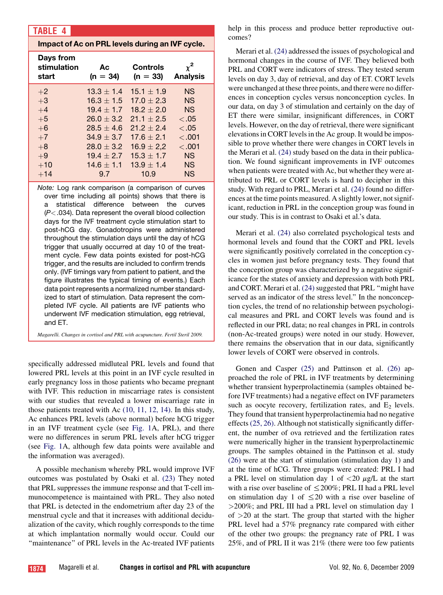# <span id="page-4-0"></span>TABLE 4

## Impact of Ac on PRL levels during an IVF cycle.

| Days from<br>stimulation<br>start | Ac<br>$(n = 34)$ | <b>Controls</b><br>$(n = 33)$ | $\chi^2$<br><b>Analysis</b> |
|-----------------------------------|------------------|-------------------------------|-----------------------------|
| $+2$                              | $13.3 \pm 1.4$   | $15.1 \pm 1.9$                | <b>NS</b>                   |
| $+3$                              | $16.3 \pm 1.5$   | $17.0 \pm 2.3$                | <b>NS</b>                   |
| $+4$                              | $19.4 + 1.7$     | $18.2 + 2.0$                  | <b>NS</b>                   |
| $+5$                              | $26.0 + 3.2$     | $21.1 + 2.5$                  | < 0.05                      |
| $+6$                              | $28.5 + 4.6$     | $21.2 + 2.4$                  | < 0.05                      |
| $+7$                              | $34.9 + 3.7$     | $17.6 + 2.1$                  | < 0.01                      |
| $+8$                              | $28.0 + 3.2$     | $16.9 \pm 2.2$                | < 0.01                      |
| $+9$                              | $19.4 + 2.7$     | $15.3 + 1.7$                  | <b>NS</b>                   |
| $+10$                             | $14.6 + 1.1$     | $13.9 + 1.4$                  | <b>NS</b>                   |
| $+14$                             | 9.7              | 10.9                          | <b>NS</b>                   |

*Note:* Log rank comparison (a comparison of curves over time including all points) shows that there is a statistical difference between the curves (*P*<.034). Data represent the overall blood collection days for the IVF treatment cycle stimulation start to post-hCG day. Gonadotropins were administered throughout the stimulation days until the day of hCG trigger that usually occurred at day 10 of the treatment cycle. Few data points existed for post-hCG trigger, and the results are included to confirm trends only. (IVF timings vary from patient to patient, and the figure illustrates the typical timing of events.) Each data point represents a normalized number standardized to start of stimulation. Data represent the completed IVF cycle. All patients are IVF patients who underwent IVF medication stimulation, egg retrieval, and ET.

Magarelli. Changes in cortisol and PRL with acupuncture. Fertil Steril 2009.

specifically addressed midluteal PRL levels and found that lowered PRL levels at this point in an IVF cycle resulted in early pregnancy loss in those patients who became pregnant with IVF. This reduction in miscarriage rates is consistent with our studies that revealed a lower miscarriage rate in those patients treated with Ac [\(10, 11, 12, 14\).](#page-8-0) In this study, Ac enhances PRL levels (above normal) before hCG trigger in an IVF treatment cycle (see [Fig. 1](#page-5-0)A, PRL), and there were no differences in serum PRL levels after hCG trigger (see [Fig. 1](#page-5-0)A, although few data points were available and the information was averaged).

A possible mechanism whereby PRL would improve IVF outcomes was postulated by Osaki et al. [\(23\)](#page-8-0) They noted that PRL suppresses the immune response and that T-cell immunocompetence is maintained with PRL. They also noted that PRL is detected in the endometrium after day 23 of the menstrual cycle and that it increases with additional decidualization of the cavity, which roughly corresponds to the time at which implantation normally would occur. Could our ''maintenance'' of PRL levels in the Ac-treated IVF patients help in this process and produce better reproductive outcomes?

Merari et al. [\(24\)](#page-8-0) addressed the issues of psychological and hormonal changes in the course of IVF. They believed both PRL and CORT were indicators of stress. They tested serum levels on day 3, day of retrieval, and day of ET. CORT levels were unchanged at these three points, and there were no differences in conception cycles versus nonconception cycles. In our data, on day 3 of stimulation and certainly on the day of ET there were similar, insignificant differences, in CORT levels. However, on the day of retrieval, there were significant elevations in CORT levels in the Ac group. It would be impossible to prove whether there were changes in CORT levels in the Merari et al. [\(24\)](#page-8-0) study based on the data in their publication. We found significant improvements in IVF outcomes when patients were treated with Ac, but whether they were attributed to PRL or CORT levels is hard to decipher in this study. With regard to PRL, Merari et al. [\(24\)](#page-8-0) found no differences at the time points measured. A slightly lower, not significant, reduction in PRL in the conception group was found in our study. This is in contrast to Osaki et al.'s data.

Merari et al. [\(24\)](#page-8-0) also correlated psychological tests and hormonal levels and found that the CORT and PRL levels were significantly positively correlated in the conception cycles in women just before pregnancy tests. They found that the conception group was characterized by a negative significance for the states of anxiety and depression with both PRL and CORT. Merari et al. [\(24\)](#page-8-0) suggested that PRL "might have served as an indicator of the stress level.'' In the nonconception cycles, the trend of no relationship between psychological measures and PRL and CORT levels was found and is reflected in our PRL data; no real changes in PRL in controls (non-Ac-treated groups) were noted in our study. However, there remains the observation that in our data, significantly lower levels of CORT were observed in controls.

Gonen and Casper [\(25\)](#page-8-0) and Pattinson et al. [\(26\)](#page-8-0) approached the role of PRL in IVF treatments by determining whether transient hyperprolactinemia (samples obtained before IVF treatments) had a negative effect on IVF parameters such as oocyte recovery, fertilization rates, and  $E_2$  levels. They found that transient hyperprolactinemia had no negative effects[\(25, 26\)](#page-8-0). Although not statistically significantly different, the number of ova retrieved and the fertilization rates were numerically higher in the transient hyperprolactinemic groups. The samples obtained in the Pattinson et al. study [\(26\)](#page-8-0) were at the start of stimulation (stimulation day 1) and at the time of hCG. Three groups were created: PRL I had a PRL level on stimulation day 1 of  $\langle 20 \mu g/L \rangle$  at the start with a rise over baseline of  $\leq$  200%; PRL II had a PRL level on stimulation day 1 of  $\leq$  20 with a rise over baseline of >200%; and PRL III had a PRL level on stimulation day 1 of  $>20$  at the start. The group that started with the higher PRL level had a 57% pregnancy rate compared with either of the other two groups: the pregnancy rate of PRL I was 25%, and of PRL II it was 21% (there were too few patients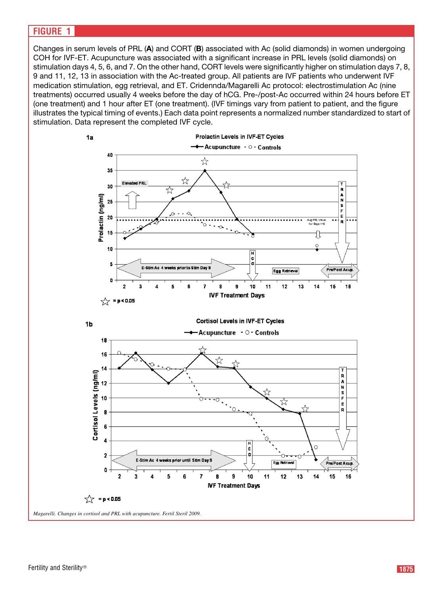# <span id="page-5-0"></span>FIGURE 1

Changes in serum levels of PRL (A) and CORT (B) associated with Ac (solid diamonds) in women undergoing COH for IVF-ET. Acupuncture was associated with a significant increase in PRL levels (solid diamonds) on stimulation days 4, 5, 6, and 7. On the other hand, CORT levels were significantly higher on stimulation days 7, 8, 9 and 11, 12, 13 in association with the Ac-treated group. All patients are IVF patients who underwent IVF medication stimulation, egg retrieval, and ET. Cridennda/Magarelli Ac protocol: electrostimulation Ac (nine treatments) occurred usually 4 weeks before the day of hCG. Pre-/post-Ac occurred within 24 hours before ET (one treatment) and 1 hour after ET (one treatment). (IVF timings vary from patient to patient, and the figure illustrates the typical timing of events.) Each data point represents a normalized number standardized to start of stimulation. Data represent the completed IVF cycle.

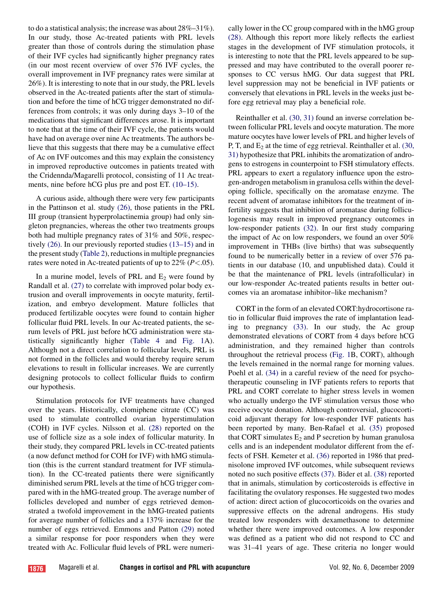to do a statistical analysis; the increase was about 28%–31%). In our study, those Ac-treated patients with PRL levels greater than those of controls during the stimulation phase of their IVF cycles had significantly higher pregnancy rates (in our most recent overview of over 576 IVF cycles, the overall improvement in IVF pregnancy rates were similar at 26%). It is interesting to note that in our study, the PRL levels observed in the Ac-treated patients after the start of stimulation and before the time of hCG trigger demonstrated no differences from controls; it was only during days 3–10 of the medications that significant differences arose. It is important to note that at the time of their IVF cycle, the patients would have had on average over nine Ac treatments. The authors believe that this suggests that there may be a cumulative effect of Ac on IVF outcomes and this may explain the consistency in improved reproductive outcomes in patients treated with the Cridennda/Magarelli protocol, consisting of 11 Ac treatments, nine before hCG plus pre and post ET. [\(10–15\)](#page-8-0).

A curious aside, although there were very few participants in the Pattinson et al. study [\(26\)](#page-8-0), those patients in the PRL III group (transient hyperprolactinemia group) had only singleton pregnancies, whereas the other two treatments groups both had multiple pregnancy rates of 31% and 50%, respectively [\(26\)](#page-8-0). In our previously reported studies [\(13–15\)](#page-8-0) and in the present study ([Table 2](#page-3-0)), reductions in multiple pregnancies rates were noted in Ac-treated patients of up to  $22\%$  ( $P < .05$ ).

In a murine model, levels of PRL and  $E_2$  were found by Randall et al. [\(27\)](#page-8-0) to correlate with improved polar body extrusion and overall improvements in oocyte maturity, fertilization, and embryo development. Mature follicles that produced fertilizable oocytes were found to contain higher follicular fluid PRL levels. In our Ac-treated patients, the serum levels of PRL just before hCG administration were statistically significantly higher ([Table 4](#page-4-0) and [Fig. 1A](#page-5-0)). Although not a direct correlation to follicular levels, PRL is not formed in the follicles and would thereby require serum elevations to result in follicular increases. We are currently designing protocols to collect follicular fluids to confirm our hypothesis.

Stimulation protocols for IVF treatments have changed over the years. Historically, clomiphene citrate (CC) was used to stimulate controlled ovarian hyperstimulation (COH) in IVF cycles. Nilsson et al. [\(28\)](#page-8-0) reported on the use of follicle size as a sole index of follicular maturity. In their study, they compared PRL levels in CC-treated patients (a now defunct method for COH for IVF) with hMG stimulation (this is the current standard treatment for IVF stimulation). In the CC-treated patients there were significantly diminished serum PRL levels at the time of hCG trigger compared with in the hMG-treated group. The average number of follicles developed and number of eggs retrieved demonstrated a twofold improvement in the hMG-treated patients for average number of follicles and a 137% increase for the number of eggs retrieved. Emmons and Patton [\(29\)](#page-8-0) noted a similar response for poor responders when they were treated with Ac. Follicular fluid levels of PRL were numerically lower in the CC group compared with in the hMG group [\(28\).](#page-8-0) Although this report more likely reflects the earliest stages in the development of IVF stimulation protocols, it is interesting to note that the PRL levels appeared to be suppressed and may have contributed to the overall poorer responses to CC versus hMG. Our data suggest that PRL level suppression may not be beneficial in IVF patients or conversely that elevations in PRL levels in the weeks just before egg retrieval may play a beneficial role.

Reinthaller et al. [\(30, 31\)](#page-8-0) found an inverse correlation between follicular PRL levels and oocyte maturation. The more mature oocytes have lower levels of PRL and higher levels of P, T, and  $E_2$  at the time of egg retrieval. Reinthaller et al. [\(30,](#page-8-0) [31\)](#page-8-0) hypothesize that PRL inhibits the aromatization of androgens to estrogens in counterpoint to FSH stimulatory effects. PRL appears to exert a regulatory influence upon the estrogen-androgen metabolism in granulosa cells within the developing follicle, specifically on the aromatase enzyme. The recent advent of aromatase inhibitors for the treatment of infertility suggests that inhibition of aromatase during folliculogenesis may result in improved pregnancy outcomes in low-responder patients [\(32\).](#page-9-0) In our first study comparing the impact of Ac on low responders, we found an over 50% improvement in THBs (live births) that was subsequently found to be numerically better in a review of over 576 patients in our database (10, and unpublished data). Could it be that the maintenance of PRL levels (intrafollicular) in our low-responder Ac-treated patients results in better outcomes via an aromatase inhibitor–like mechanism?

CORT in the form of an elevated CORT:hydrocortisone ratio in follicular fluid improves the rate of implantation leading to pregnancy [\(33\)](#page-9-0). In our study, the Ac group demonstrated elevations of CORT from 4 days before hCG administration, and they remained higher than controls throughout the retrieval process [\(Fig. 1](#page-5-0)B, CORT), although the levels remained in the normal range for morning values. Poehl et al. [\(34\)](#page-9-0) in a careful review of the need for psychotherapeutic counseling in IVF patients refers to reports that PRL and CORT correlate to higher stress levels in women who actually undergo the IVF stimulation versus those who receive oocyte donation. Although controversial, glucocorticoid adjuvant therapy for low-responder IVF patients has been reported by many. Ben-Rafael et al. [\(35\)](#page-9-0) proposed that CORT simulates  $E_2$  and P secretion by human granulosa cells and is an independent modulator different from the effects of FSH. Kemeter et al. [\(36\)](#page-9-0) reported in 1986 that prednisolone improved IVF outcomes, while subsequent reviews noted no such positive effects [\(37\).](#page-9-0) Bider et al. [\(38\)](#page-9-0) reported that in animals, stimulation by corticosteroids is effective in facilitating the ovulatory responses. He suggested two modes of action: direct action of glucocorticoids on the ovaries and suppressive effects on the adrenal androgens. His study treated low responders with dexamethasone to determine whether there were improved outcomes. A low responder was defined as a patient who did not respond to CC and was 31–41 years of age. These criteria no longer would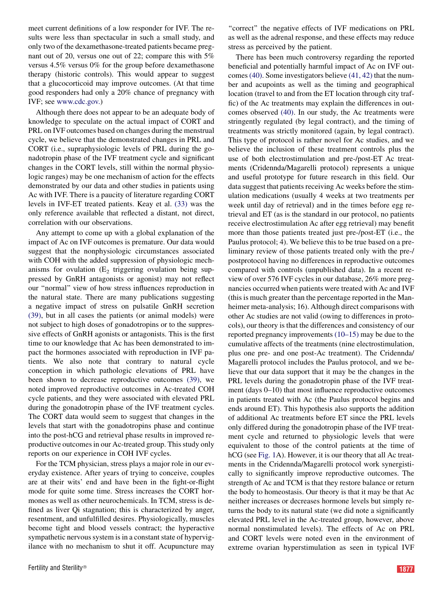meet current definitions of a low responder for IVF. The results were less than spectacular in such a small study, and only two of the dexamethasone-treated patients became pregnant out of 20, versus one out of 22; compare this with 5% versus 4.5% versus 0% for the group before dexamethasone therapy (historic controls). This would appear to suggest that a glucocorticoid may improve outcomes. (At that time good responders had only a 20% chance of pregnancy with IVF; see [www.cdc.gov.](http://www.cdc.gov))

Although there does not appear to be an adequate body of knowledge to speculate on the actual impact of CORT and PRL on IVF outcomes based on changes during the menstrual cycle, we believe that the demonstrated changes in PRL and CORT (i.e., supraphysiologic levels of PRL during the gonadotropin phase of the IVF treatment cycle and significant changes in the CORT levels, still within the normal physiologic ranges) may be one mechanism of action for the effects demonstrated by our data and other studies in patients using Ac with IVF. There is a paucity of literature regarding CORT levels in IVF-ET treated patients. Keay et al. [\(33\)](#page-9-0) was the only reference available that reflected a distant, not direct, correlation with our observations.

Any attempt to come up with a global explanation of the impact of Ac on IVF outcomes is premature. Our data would suggest that the nonphysiologic circumstances associated with COH with the added suppression of physiologic mechanisms for ovulation  $(E_2)$  triggering ovulation being suppressed by GnRH antagonists or agonist) may not reflect our ''normal'' view of how stress influences reproduction in the natural state. There are many publications suggesting a negative impact of stress on pulsatile GnRH secretion [\(39\),](#page-9-0) but in all cases the patients (or animal models) were not subject to high doses of gonadotropins or to the suppressive effects of GnRH agonists or antagonists. This is the first time to our knowledge that Ac has been demonstrated to impact the hormones associated with reproduction in IVF patients. We also note that contrary to natural cycle conception in which pathologic elevations of PRL have been shown to decrease reproductive outcomes [\(39\),](#page-9-0) we noted improved reproductive outcomes in Ac-treated COH cycle patients, and they were associated with elevated PRL during the gonadotropin phase of the IVF treatment cycles. The CORT data would seem to suggest that changes in the levels that start with the gonadotropins phase and continue into the post-hCG and retrieval phase results in improved reproductive outcomes in our Ac-treated group. This study only reports on our experience in COH IVF cycles.

For the TCM physician, stress plays a major role in our everyday existence. After years of trying to conceive, couples are at their wits' end and have been in the fight-or-flight mode for quite some time. Stress increases the CORT hormones as well as other neurochemicals. In TCM, stress is defined as liver Qi stagnation; this is characterized by anger, resentment, and unfulfilled desires. Physiologically, muscles become tight and blood vessels contract; the hyperactive sympathetic nervous system is in a constant state of hypervigilance with no mechanism to shut it off. Acupuncture may

"correct" the negative effects of IVF medications on PRL as well as the adrenal response, and these effects may reduce stress as perceived by the patient.

There has been much controversy regarding the reported beneficial and potentially harmful impact of Ac on IVF outcomes [\(40\)](#page-9-0). Some investigators believe [\(41, 42\)](#page-9-0) that the number and acupoints as well as the timing and geographical location (travel to and from the ET location through city traffic) of the Ac treatments may explain the differences in outcomes observed [\(40\).](#page-9-0) In our study, the Ac treatments were stringently regulated (by legal contract), and the timing of treatments was strictly monitored (again, by legal contract). This type of protocol is rather novel for Ac studies, and we believe the inclusion of these treatment controls plus the use of both electrostimulation and pre-/post-ET Ac treatments (Cridennda/Magarelli protocol) represents a unique and useful prototype for future research in this field. Our data suggest that patients receiving Ac weeks before the stimulation medications (usually 4 weeks at two treatments per week until day of retrieval) and in the times before egg retrieval and ET (as is the standard in our protocol, no patients receive electrostimulation Ac after egg retrieval) may benefit more than those patients treated just pre-/post-ET (i.e., the Paulus protocol; 4). We believe this to be true based on a preliminary review of those patients treated only with the pre-/ postprotocol having no differences in reproductive outcomes compared with controls (unpublished data). In a recent review of over 576 IVF cycles in our database, 26% more pregnancies occurred when patients were treated with Ac and IVF (this is much greater than the percentage reported in the Manheimer meta-analysis; 16). Although direct comparisons with other Ac studies are not valid (owing to differences in protocols), our theory is that the differences and consistency of our reported pregnancy improvements [\(10–15\)](#page-8-0) may be due to the cumulative affects of the treatments (nine electrostimulation, plus one pre- and one post-Ac treatment). The Cridennda/ Magarelli protocol includes the Paulus protocol, and we believe that our data support that it may be the changes in the PRL levels during the gonadotropin phase of the IVF treatment (days 0–10) that most influence reproductive outcomes in patients treated with Ac (the Paulus protocol begins and ends around ET). This hypothesis also supports the addition of additional Ac treatments before ET since the PRL levels only differed during the gonadotropin phase of the IVF treatment cycle and returned to physiologic levels that were equivalent to those of the control patients at the time of hCG (see [Fig. 1](#page-5-0)A). However, it is our theory that all Ac treatments in the Cridennda/Magarelli protocol work synergistically to significantly improve reproductive outcomes. The strength of Ac and TCM is that they restore balance or return the body to homeostasis. Our theory is that it may be that Ac neither increases or decreases hormone levels but simply returns the body to its natural state (we did note a significantly elevated PRL level in the Ac-treated group, however, above normal nonstimulated levels). The effects of Ac on PRL and CORT levels were noted even in the environment of extreme ovarian hyperstimulation as seen in typical IVF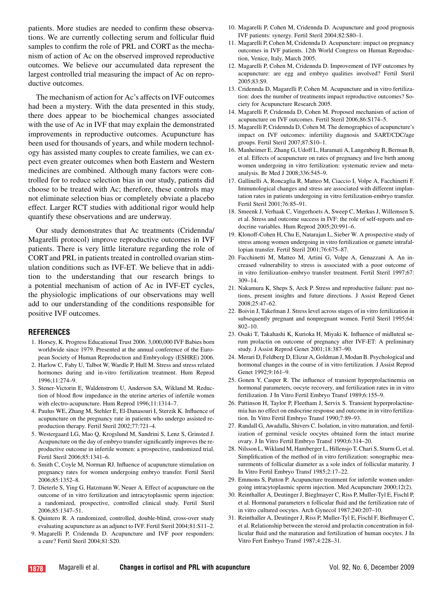<span id="page-8-0"></span>patients. More studies are needed to confirm these observations. We are currently collecting serum and follicular fluid samples to confirm the role of PRL and CORT as the mechanism of action of Ac on the observed improved reproductive outcomes. We believe our accumulated data represent the largest controlled trial measuring the impact of Ac on reproductive outcomes.

The mechanism of action for Ac's affects on IVF outcomes had been a mystery. With the data presented in this study, there does appear to be biochemical changes associated with the use of Ac in IVF that may explain the demonstrated improvements in reproductive outcomes. Acupuncture has been used for thousands of years, and while modern technology has assisted many couples to create families, we can expect even greater outcomes when both Eastern and Western medicines are combined. Although many factors were controlled for to reduce selection bias in our study, patients did choose to be treated with Ac; therefore, these controls may not eliminate selection bias or completely obviate a placebo effect. Larger RCT studies with additional rigor would help quantify these observations and are underway.

Our study demonstrates that Ac treatments (Cridennda/ Magarelli protocol) improve reproductive outcomes in IVF patients. There is very little literature regarding the role of CORT and PRL in patients treated in controlled ovarian stimulation conditions such as IVF-ET. We believe that in addition to the understanding that our research brings to a potential mechanism of action of Ac in IVF-ET cycles, the physiologic implications of our observations may well add to our understanding of the conditions responsible for positive IVF outcomes.

#### **REFERENCES**

- 1. Horsey, K. Progress Educational Trust 2006. 3,000,000 IVF Babies born worldwide since 1979. Presented at the annual conference of the European Society of Human Reproduction and Embryology (ESHRE) 2006.
- 2. Harlow C, Fahy U, Talbot W, Wardle P, Hull M. Stress and stress related hormones during and in-vitro fertilization treatment. Hum Reprod 1996;11:274–9.
- 3. Stener-Victorin E, Waldenstrom U, Anderson SA, Wikland M. Reduction of blood flow impedance in the uterine arteries of infertile women with electro-acupuncture. Hum Reprod 1996;11:1314–7.
- 4. Paulus WE, Zhang M, Stehler E, El-Danasouri I, Sterzik K. Influence of acupuncture on the pregnancy rate in patients who undergo assisted reproduction therapy. Fertil Steril 2002;77:721–4.
- 5. Westergaard LG, Mao Q, Krogslund M, Sandrini S, Lenz S, Grinsted J. Acupuncture on the day of embryo transfer significantly improves the reproductive outcome in infertile women: a prospective, randomized trial. Fertil Steril 2006;85:1341–6.
- 6. Smith C, Coyle M, Norman RJ. Influence of acupuncture stimulation on pregnancy rates for women undergoing embryo transfer. Fertil Steril 2006;85:1352–8.
- 7. Dieterle S, Ying G, Hatzmann W, Neuer A. Effect of acupuncture on the outcome of in vitro fertilization and intracytoplasmic sperm injection: a randomized, prospective, controlled clinical study. Fertil Steril 2006;85:1347–51.
- 8. Quintero R. A randomized, controlled, double-blind, cross-over study evaluating acupuncture as an adjunct to IVF. Fertil Steril 2004;81:S11–2.
- 9. Magarelli P, Cridennda D. Acupuncture and IVF poor responders: a cure? Fertil Steril 2004;81:S20.
- 10. Magarelli P, Cohen M, Cridennda D. Acupuncture and good prognosis IVF patients: synergy. Fertil Steril 2004;82:S80–1.
- 11. Magarelli P, Cohen M, Cridennda D. Acupuncture: impact on pregnancy outcomes in IVF patients. 12th World Congress on Human Reproduction, Venice, Italy, March 2005.
- 12. Magarelli P, Cohen M, Cridennda D. Improvement of IVF outcomes by acupuncture: are egg and embryo qualities involved? Fertil Steril 2005;83:S9.
- 13. Cridennda D, Magarelli P, Cohen M. Acupuncture and in vitro fertilization: does the number of treatments impact reproductive outcomes? Society for Acupuncture Research 2005.
- 14. Magarelli P, Cridennda D, Cohen M. Proposed mechanism of action of acupuncture on IVF outcomes. Fertil Steril 2006;86:S174–5.
- 15. Magarelli P, Cridennda D, Cohen M. The demographics of acupuncture's impact on IVF outcomes: infertility diagnosis and SART/CDC/age groups. Fertil Steril 2007;87:S10–1.
- 16. Manheimer E, Zhang G, Udoff L, Haramati A, Langenberg B, Berman B, et al. Effects of acupuncture on rates of pregnancy and live birth among women undergoing in vitro fertilization: systematic review and metaanalysis. Br Med J 2008;336:545–9.
- 17. Gallinelli A, Roncaglia R, Matteo M, Ciaccio I, Volpe A, Facchinetti F. Immunological changes and stress are associated with different implantation rates in patients undergoing in vitro fertilization-embryo transfer. Fertil Steril 2001;76:85–91.
- 18. Smeenk J, Verhaak C, Vingerhoets A, Sweep C, Merkus J, Willemsen S, et al. Stress and outcome success in IVF: the role of self-reports and endocrine variables. Hum Reprod 2005;20:991–6.
- 19. Klonoff-Cohen H, Chu E, Natarajan L, Sieber W. A prospective study of stress among women undergoing in vitro fertilization or gamete intrafallopian transfer. Fertil Steril 2001;76:675–87.
- 20. Facchinetti M, Matteo M, Artini G, Volpe A, Genazzani A. An increased vulnerability to stress is associated with a poor outcome of in vitro fertilization–embryo transfer treatment. Fertil Steril 1997;67: 309–14.
- 21. Nakamura K, Sheps S, Arck P. Stress and reproductive failure: past notions, present insights and future directions. J Assist Reprod Genet 2008;25:47–62.
- 22. Boivin J, Takefman J. Stress level across stages of in vitro fertilization in subsequently pregnant and nonpregnant women. Fertil Steril 1995;64: 802–10.
- 23. Osaki T, Takahashi K, Kurioka H, Miyaki K. Influence of midluteal serum prolactin on outcome of pregnancy after IVF-ET: A preliminary study. J Assist Reprod Genet 2001;18:387–90.
- 24. Merari D, Feldberg D, Elizur A, Goldman J, Modan B. Psychological and hormonal changes in the course of in vitro fertilization. J Assist Reprod Genet 1992;9:161–9.
- 25. Gonen Y, Casper R. The influence of transient hyperprolactinemia on hormonal parameters, oocyte recovery, and fertilization rates in in vitro fertilization. J In Vitro Fertil Embryo Transf 1989;6:155–9.
- 26. Pattinson H, Taylor P, Fleetham J, Servix S. Transient hyperprolactinemia has no effect on endocrine response and outcome in in vitro fertilization. In Vitro Fertil Embryo Transf 1990;7:89–93.
- 27. Randall G, Awadalla, Shivers C. Isolation, in vitro maturation, and fertilization of germinal vesicle oocytes obtained form the intact murine ovary. J In Vitro Fertil Embryo Transf 1990;6:314–20.
- 28. Nilsson L, Wikland M, Hamberger L, Hillensjo T, Chari S, Sturm G, et al. Simplification of the method of in vitro fertilization: sonographic measurements of follicular diameter as a sole index of follicular maturity. J In Vitro Fertil Embryo Transf 1985;2:17–22.
- 29. Emmons S, Patton P. Acupuncture treatment for infertile women undergoing intracytoplasmic sperm injection. Med Acupuncture 2000;12(2).
- 30. Reinthaller A, Deutinger J, Bieglmayer C, Riss P, Muller-Tyl E, Fischl P, et al. Hormonal parameters n follicular fluid and the fertilization rate of in vitro cultured oocytes. Arch Gynecol 1987;240:207–10.
- 31. Reinthaller A, Deutinger J, Riss P, Muller-Tyl E, Fischl F, Bieflmayer C, et al. Relationship between the steroid and prolactin concentration in follicular fluid and the maturation and fertilization of human oocytes. J In Vitro Fert Embryo Transf 1987;4:228–31.